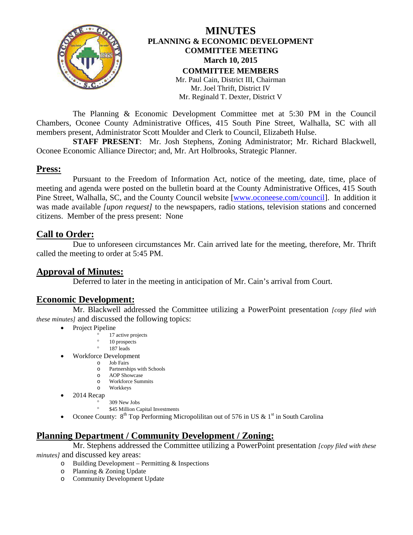

## **MINUTES PLANNING & ECONOMIC DEVELOPMENT COMMITTEE MEETING March 10, 2015 COMMITTEE MEMBERS** Mr. Paul Cain, District III, Chairman Mr. Joel Thrift, District IV Mr. Reginald T. Dexter, District V

The Planning & Economic Development Committee met at 5:30 PM in the Council Chambers, Oconee County Administrative Offices, 415 South Pine Street, Walhalla, SC with all members present, Administrator Scott Moulder and Clerk to Council, Elizabeth Hulse.

**STAFF PRESENT**: Mr. Josh Stephens, Zoning Administrator; Mr. Richard Blackwell, Oconee Economic Alliance Director; and, Mr. Art Holbrooks, Strategic Planner.

## **Press:**

Pursuant to the Freedom of Information Act, notice of the meeting, date, time, place of meeting and agenda were posted on the bulletin board at the County Administrative Offices, 415 South Pine Street, Walhalla, SC, and the County Council website [\[www.oconeese.com/council\]](http://www.oconeese.com/council). In addition it was made available *[upon request]* to the newspapers, radio stations, television stations and concerned citizens. Member of the press present: None

**Call to Order:** Due to unforeseen circumstances Mr. Cain arrived late for the meeting, therefore, Mr. Thrift called the meeting to order at 5:45 PM.

## **Approval of Minutes:**

Deferred to later in the meeting in anticipation of Mr. Cain's arrival from Court.

## **Economic Development:**

Mr. Blackwell addressed the Committee utilizing a PowerPoint presentation *[copy filed with these minutes]* and discussed the following topics:

- Project Pipeline
	- 17 active projects
	- 10 prospects
	- ° 187 leads
- Workforce Development
	- o Job Fairs
		- o Partnerships with Schools<br>
		o AOP Showcase
		- o AOP Showcase<br>o Workforce Sum
		- Workforce Summits o Workkeys
- 2014 Recap
	- ° 309 New Jobs
	- \$45 Million Capital Investments
- Oconee County:  $8^{th}$  Top Performing Micropolilitan out of 576 in US & 1<sup>st</sup> in South Carolina

## **Planning Department / Community Development / Zoning:**

Mr. Stephens addressed the Committee utilizing a PowerPoint presentation *[copy filed with these minutes]* and discussed key areas:

- $\circ$  Building Development Permitting & Inspections
	- o Planning & Zoning Update
	- o Community Development Update